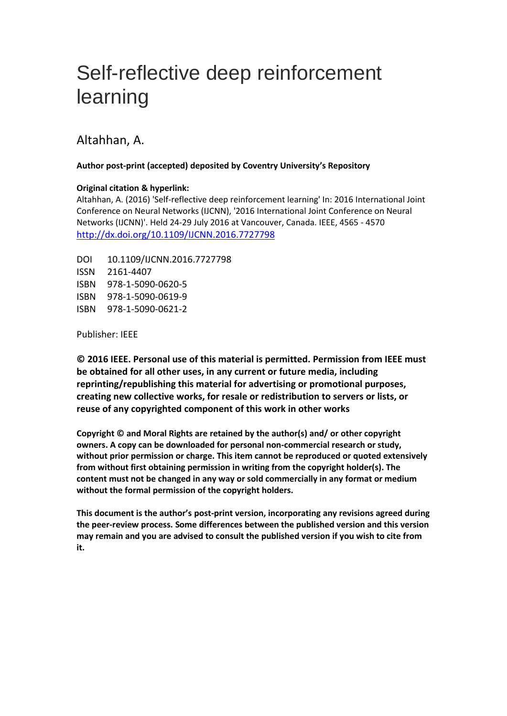# Self-reflective deep reinforcement learning

Altahhan, A.

### **Author post-print (accepted) deposited by Coventry University's Repository**

## **Original citation & hyperlink:**

Altahhan, A. (2016) 'Self-reflective deep reinforcement learning' In: 2016 International Joint Conference on Neural Networks (IJCNN), '2016 International Joint Conference on Neural Networks (IJCNN)'. Held 24-29 July 2016 at Vancouver, Canada. IEEE, 4565 - 4570 <http://dx.doi.org/10.1109/IJCNN.2016.7727798>

DOI 10.1109/IJCNN.2016.7727798 ISSN 2161-4407 ISBN 978-1-5090-0620-5 ISBN 978-1-5090-0619-9 ISBN 978-1-5090-0621-2

Publisher: IEEE

**© 2016 IEEE. Personal use of this material is permitted. Permission from IEEE must be obtained for all other uses, in any current or future media, including reprinting/republishing this material for advertising or promotional purposes, creating new collective works, for resale or redistribution to servers or lists, or reuse of any copyrighted component of this work in other works**

**Copyright © and Moral Rights are retained by the author(s) and/ or other copyright owners. A copy can be downloaded for personal non-commercial research or study, without prior permission or charge. This item cannot be reproduced or quoted extensively from without first obtaining permission in writing from the copyright holder(s). The content must not be changed in any way or sold commercially in any format or medium without the formal permission of the copyright holders.** 

**This document is the author's post-print version, incorporating any revisions agreed during the peer-review process. Some differences between the published version and this version may remain and you are advised to consult the published version if you wish to cite from it.**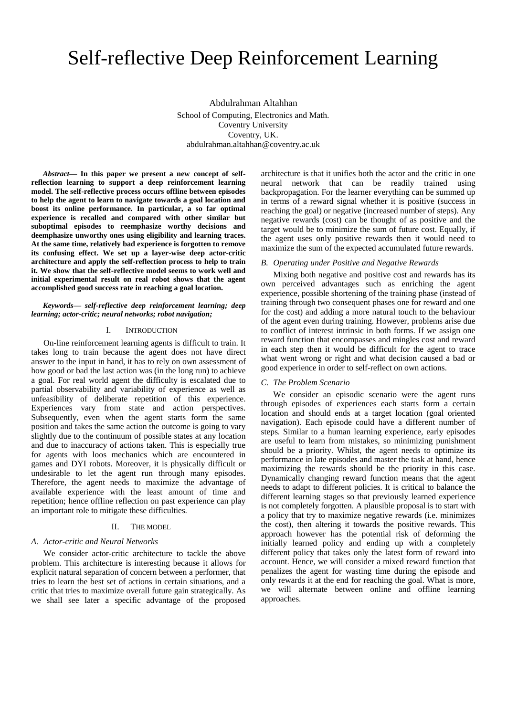## Self-reflective Deep Reinforcement Learning

Abdulrahman Altahhan School of Computing, Electronics and Math. Coventry University Coventry, UK. abdulrahman.altahhan@coventry.ac.uk

*Abstract***— In this paper we present a new concept of selfreflection learning to support a deep reinforcement learning model. The self-reflective process occurs offline between episodes to help the agent to learn to navigate towards a goal location and boost its online performance. In particular, a so far optimal experience is recalled and compared with other similar but suboptimal episodes to reemphasize worthy decisions and deemphasize unworthy ones using eligibility and learning traces. At the same time, relatively bad experience is forgotten to remove its confusing effect. We set up a layer-wise deep actor-critic architecture and apply the self-reflection process to help to train it. We show that the self-reflective model seems to work well and initial experimental result on real robot shows that the agent accomplished good success rate in reaching a goal location.**

#### *Keywords— self-reflective deep reinforcement learning; deep learning; actor-critic; neural networks; robot navigation;*

#### I. INTRODUCTION

On-line reinforcement learning agents is difficult to train. It takes long to train because the agent does not have direct answer to the input in hand, it has to rely on own assessment of how good or bad the last action was (in the long run) to achieve a goal. For real world agent the difficulty is escalated due to partial observability and variability of experience as well as unfeasibility of deliberate repetition of this experience. Experiences vary from state and action perspectives. Subsequently, even when the agent starts form the same position and takes the same action the outcome is going to vary slightly due to the continuum of possible states at any location and due to inaccuracy of actions taken. This is especially true for agents with loos mechanics which are encountered in games and DYI robots. Moreover, it is physically difficult or undesirable to let the agent run through many episodes. Therefore, the agent needs to maximize the advantage of available experience with the least amount of time and repetition; hence offline reflection on past experience can play an important role to mitigate these difficulties.

#### II. THE MODEL

#### *A. Actor-critic and Neural Networks*

We consider actor-critic architecture to tackle the above problem. This architecture is interesting because it allows for explicit natural separation of concern between a performer, that tries to learn the best set of actions in certain situations, and a critic that tries to maximize overall future gain strategically. As we shall see later a specific advantage of the proposed architecture is that it unifies both the actor and the critic in one neural network that can be readily trained using backpropagation. For the learner everything can be summed up in terms of a reward signal whether it is positive (success in reaching the goal) or negative (increased number of steps). Any negative rewards (cost) can be thought of as positive and the target would be to minimize the sum of future cost. Equally, if the agent uses only positive rewards then it would need to maximize the sum of the expected accumulated future rewards.

#### *B. Operating under Positive and Negative Rewards*

Mixing both negative and positive cost and rewards has its own perceived advantages such as enriching the agent experience, possible shortening of the training phase (instead of training through two consequent phases one for reward and one for the cost) and adding a more natural touch to the behaviour of the agent even during training. However, problems arise due to conflict of interest intrinsic in both forms. If we assign one reward function that encompasses and mingles cost and reward in each step then it would be difficult for the agent to trace what went wrong or right and what decision caused a bad or good experience in order to self-reflect on own actions.

#### *C. The Problem Scenario*

We consider an episodic scenario were the agent runs through episodes of experiences each starts form a certain location and should ends at a target location (goal oriented navigation). Each episode could have a different number of steps. Similar to a human learning experience, early episodes are useful to learn from mistakes, so minimizing punishment should be a priority. Whilst, the agent needs to optimize its performance in late episodes and master the task at hand, hence maximizing the rewards should be the priority in this case. Dynamically changing reward function means that the agent needs to adapt to different policies. It is critical to balance the different learning stages so that previously learned experience is not completely forgotten. A plausible proposal is to start with a policy that try to maximize negative rewards (i.e. minimizes the cost), then altering it towards the positive rewards. This approach however has the potential risk of deforming the initially learned policy and ending up with a completely different policy that takes only the latest form of reward into account. Hence, we will consider a mixed reward function that penalizes the agent for wasting time during the episode and only rewards it at the end for reaching the goal. What is more, we will alternate between online and offline learning approaches.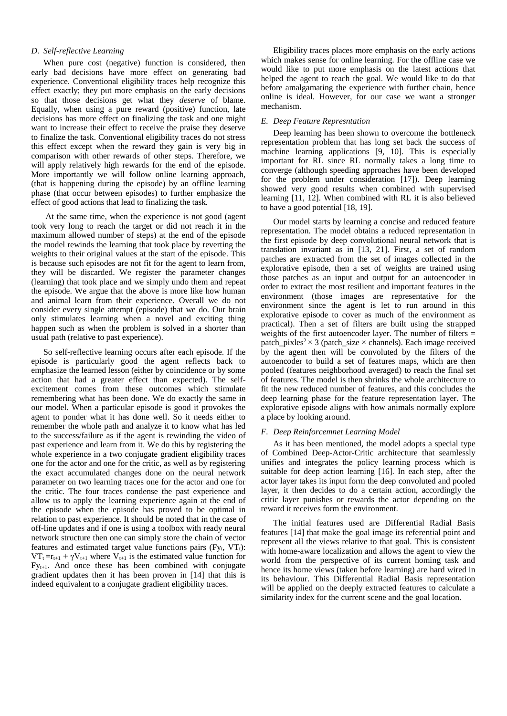#### *D. Self-reflective Learning*

When pure cost (negative) function is considered, then early bad decisions have more effect on generating bad experience. Conventional eligibility traces help recognize this effect exactly; they put more emphasis on the early decisions so that those decisions get what they *deserve* of blame. Equally, when using a pure reward (positive) function, late decisions has more effect on finalizing the task and one might want to increase their effect to receive the praise they deserve to finalize the task. Conventional eligibility traces do not stress this effect except when the reward they gain is very big in comparison with other rewards of other steps. Therefore, we will apply relatively high rewards for the end of the episode. More importantly we will follow online learning approach, (that is happening during the episode) by an offline learning phase (that occur between episodes) to further emphasize the effect of good actions that lead to finalizing the task.

At the same time, when the experience is not good (agent took very long to reach the target or did not reach it in the maximum allowed number of steps) at the end of the episode the model rewinds the learning that took place by reverting the weights to their original values at the start of the episode. This is because such episodes are not fit for the agent to learn from, they will be discarded. We register the parameter changes (learning) that took place and we simply undo them and repeat the episode. We argue that the above is more like how human and animal learn from their experience. Overall we do not consider every single attempt (episode) that we do. Our brain only stimulates learning when a novel and exciting thing happen such as when the problem is solved in a shorter than usual path (relative to past experience).

So self-reflective learning occurs after each episode. If the episode is particularly good the agent reflects back to emphasize the learned lesson (either by coincidence or by some action that had a greater effect than expected). The selfexcitement comes from these outcomes which stimulate remembering what has been done. We do exactly the same in our model. When a particular episode is good it provokes the agent to ponder what it has done well. So it needs either to remember the whole path and analyze it to know what has led to the success/failure as if the agent is rewinding the video of past experience and learn from it. We do this by registering the whole experience in a two conjugate gradient eligibility traces one for the actor and one for the critic, as well as by registering the exact accumulated changes done on the neural network parameter on two learning traces one for the actor and one for the critic. The four traces condense the past experience and allow us to apply the learning experience again at the end of the episode when the episode has proved to be optimal in relation to past experience. It should be noted that in the case of off-line updates and if one is using a toolbox with ready neural network structure then one can simply store the chain of vector features and estimated target value functions pairs  $(Fy_t, VT_t)$ :  $VT_t = r_{t+1} + \gamma V_{t+1}$  where  $V_{t+1}$  is the estimated value function for  $F_{y_{t+1}}$ . And once these has been combined with conjugate gradient updates then it has been proven in [14] that this is indeed equivalent to a conjugate gradient eligibility traces.

Eligibility traces places more emphasis on the early actions which makes sense for online learning. For the offline case we would like to put more emphasis on the latest actions that helped the agent to reach the goal. We would like to do that before amalgamating the experience with further chain, hence online is ideal. However, for our case we want a stronger mechanism.

#### *E. Deep Feature Represntation*

Deep learning has been shown to overcome the bottleneck representation problem that has long set back the success of machine learning applications [9, 10]. This is especially important for RL since RL normally takes a long time to converge (although speeding approaches have been developed for the problem under consideration [17]). Deep learning showed very good results when combined with supervised learning [11, 12]. When combined with RL it is also believed to have a good potential [18, 19].

Our model starts by learning a concise and reduced feature representation. The model obtains a reduced representation in the first episode by deep convolutional neural network that is translation invariant as in [13, 21]. First, a set of random patches are extracted from the set of images collected in the explorative episode, then a set of weights are trained using those patches as an input and output for an autoencoder in order to extract the most resilient and important features in the environment (those images are representative for the environment since the agent is let to run around in this explorative episode to cover as much of the environment as practical). Then a set of filters are built using the strapped weights of the first autoencoder layer. The number of filters = patch\_pixles<sup>2</sup> × 3 (patch\_size × channels). Each image received by the agent then will be convoluted by the filters of the autoencoder to build a set of features maps, which are then pooled (features neighborhood averaged) to reach the final set of features. The model is then shrinks the whole architecture to fit the new reduced number of features, and this concludes the deep learning phase for the feature representation layer. The explorative episode aligns with how animals normally explore a place by looking around.

#### *F. Deep Reinforcemnet Learning Model*

As it has been mentioned, the model adopts a special type of Combined Deep-Actor-Critic architecture that seamlessly unifies and integrates the policy learning process which is suitable for deep action learning [16]. In each step, after the actor layer takes its input form the deep convoluted and pooled layer, it then decides to do a certain action, accordingly the critic layer punishes or rewards the actor depending on the reward it receives form the environment.

The initial features used are Differential Radial Basis features [14] that make the goal image its referential point and represent all the views relative to that goal. This is consistent with home-aware localization and allows the agent to view the world from the perspective of its current homing task and hence its home views (taken before learning) are hard wired in its behaviour. This Differential Radial Basis representation will be applied on the deeply extracted features to calculate a similarity index for the current scene and the goal location.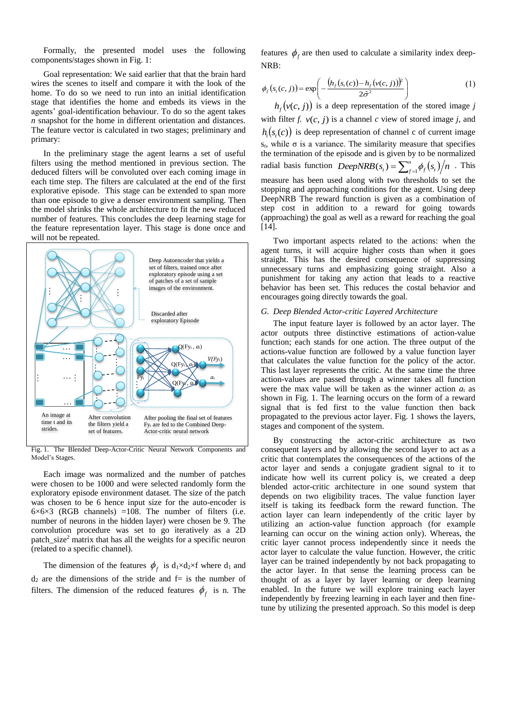Formally, the presented model uses the following components/stages shown in Fig. 1:

Goal representation: We said earlier that that the brain hard wires the scenes to itself and compare it with the look of the home. To do so we need to run into an initial identification stage that identifies the home and embeds its views in the agents' goal-identification behaviour. To do so the agent takes *n* snapshot for the home in different orientation and distances. The feature vector is calculated in two stages; preliminary and primary:

In the preliminary stage the agent learns a set of useful filters using the method mentioned in previous section. The deduced filters will be convoluted over each coming image in each time step. The filters are calculated at the end of the first explorative episode. This stage can be extended to span more than one episode to give a denser environment sampling. Then the model shrinks the whole architecture to fit the new reduced number of features. This concludes the deep learning stage for the feature representation layer. This stage is done once and will not be repeated.



Fig. 1. The Blended Deep-Actor-Critic Neural Network Components and Model's Stages.

Each image was normalized and the number of patches were chosen to be 1000 and were selected randomly form the exploratory episode environment dataset. The size of the patch was chosen to be 6 hence input size for the auto-encoder is  $6\times6\times3$  (RGB channels) =108. The number of filters (i.e. number of neurons in the hidden layer) were chosen be 9. The convolution procedure was set to go iteratively as a 2D patch\_size<sup>2</sup> matrix that has all the weights for a specific neuron (related to a specific channel).

The dimension of the features  $\phi_f$  is  $d_1 \times d_2 \times f$  where  $d_1$  and  $d_2$  are the dimensions of the stride and  $f = i s$  the number of filters. The dimension of the reduced features  $\phi_f$  is n. The features  $\phi_f$  are then used to calculate a similarity index deep-NRB:

$$
\phi_f(s_r(c,j)) = \exp\left(-\frac{(h_f(s_r(c)) - h_f(v(c,j)))^2}{2\hat{\sigma}^2}\right)
$$
 (1)

 $h_f(v(c, j))$  is a deep representation of the stored image *j* with filter *f.*  $v(c, j)$  is a channel *c* view of stored image *j*, and  $h_i(s_i(c))$  is deep representation of channel c of current image s*t*, while σ is a variance. The similarity measure that specifies the termination of the episode and is given by to be normalized radial basis function  $DeepNRB(s_t) = \sum_{i=1}^{n} \phi_i(s_t)/n$  $f(s_t) = \sum_{f=1}^n \phi_f(s_t) / n$ . This measure has been used along with two thresholds to set the stopping and approaching conditions for the agent. Using deep DeepNRB The reward function is given as a combination of step cost in addition to a reward for going towards (approaching) the goal as well as a reward for reaching the goal [14].

Two important aspects related to the actions: when the agent turns, it will acquire higher costs than when it goes straight. This has the desired consequence of suppressing unnecessary turns and emphasizing going straight. Also a punishment for taking any action that leads to a reactive behavior has been set. This reduces the costal behavior and encourages going directly towards the goal.

#### *G. Deep Blended Actor-critic Layered Architecture*

The input feature layer is followed by an actor layer. The actor outputs three distinctive estimations of action-value function; each stands for one action. The three output of the actions-value function are followed by a value function layer that calculates the value function for the policy of the actor. This last layer represents the critic. At the same time the three action-values are passed through a winner takes all function were the max value will be taken as the winner action  $a_t$  as shown in Fig. 1. The learning occurs on the form of a reward signal that is fed first to the value function then back propagated to the previous actor layer. Fig. 1 shows the layers, stages and component of the system.

By constructing the actor-critic architecture as two consequent layers and by allowing the second layer to act as a critic that contemplates the consequences of the actions of the actor layer and sends a conjugate gradient signal to it to indicate how well its current policy is, we created a deep blended actor-critic architecture in one sound system that depends on two eligibility traces. The value function layer itself is taking its feedback form the reward function. The action layer can learn independently of the critic layer by utilizing an action-value function approach (for example learning can occur on the wining action only). Whereas, the critic layer cannot process independently since it needs the actor layer to calculate the value function. However, the critic layer can be trained independently by not back propagating to the actor layer. In that sense the learning process can be thought of as a layer by layer learning or deep learning enabled. In the future we will explore training each layer independently by freezing learning in each layer and then finetune by utilizing the presented approach. So this model is deep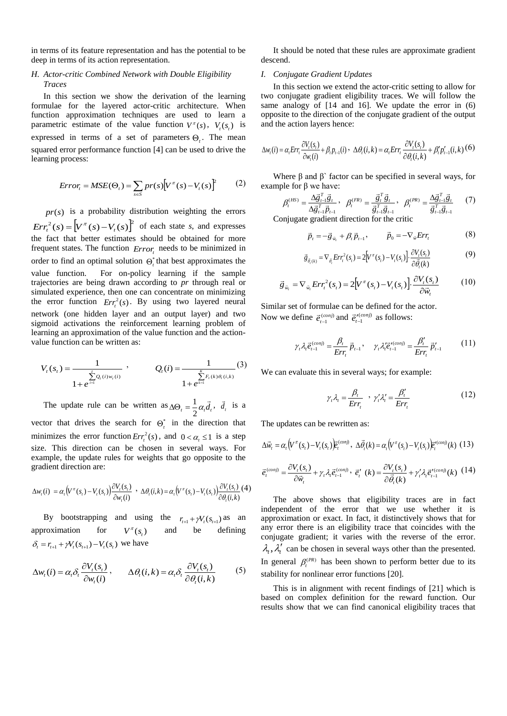in terms of its feature representation and has the potential to be deep in terms of its action representation.

#### *H. Actor-critic Combined Network with Double Eligibility Traces*

In this section we show the derivation of the learning formulae for the layered actor-critic architecture. When function approximation techniques are used to learn a parametric estimate of the value function  $V^{\pi}(s)$ ,  $V_i(s_i)$  is expressed in terms of a set of parameters  $\Theta_t$ . The mean squared error performance function [4] can be used to drive the learning process:

$$
Errort = MSE(\Thetat) = \sum_{s \in S} pr(s) [V^{\pi}(s) - V_t(s)]^2
$$
 (2)

 $pr(s)$  is a probability distribution weighting the errors  $Err_t^2(s) = [V^\pi(s) - V_t(s)]^2$  of each state *s*, and expresses the fact that better estimates should be obtained for more frequent states. The function *Error<sup>t</sup>* needs to be minimized in order to find an optimal solution  $\Theta_t^*$  that best approximates the value function. For on-policy learning if the sample trajectories are being drawn according to *pr* through real or simulated experience, then one can concentrate on minimizing the error function  $Err_i^2(s)$ . By using two layered neural network (one hidden layer and an output layer) and two sigmoid activations the reinforcement learning problem of learning an approximation of the value function and the actionvalue function can be written as:

$$
V_{t}(s_{t}) = \frac{1}{1 + e^{\sum_{i=1}^{t} Q_{t}(i)w_{t}(i)}} , \qquad Q_{t}(i) = \frac{1}{1 + e^{\sum_{k=1}^{K} F_{t}(k) \theta_{t}(i,k)}} (3)
$$

The update rule can be written as  $\Delta\Theta_t = \frac{1}{2} \alpha_t \vec{d}_t$  $rac{1}{2}\alpha_i\vec{d}_i$  $\Delta \Theta_t = \frac{1}{2} \alpha_t \vec{d}_t, \ \ \vec{d}_t$  $\vec{d}$ , is a vector that drives the search for  $\Theta_t^*$  in the direction that minimizes the error function  $Err_i^2(s)$ , and  $0 < \alpha_i \le 1$  is a step size. This direction can be chosen in several ways. For example, the update rules for weights that go opposite to the gradient direction are:

$$
\Delta w_t(i) = \alpha_t \Big( V^{\pi}(s_t) - V_t(s_t) \Big) \frac{\partial V_t(s_t)}{\partial w_t(i)} \ , \ \Delta \theta_t(i,k) = \alpha_t \Big( V^{\pi}(s_t) - V_t(s_t) \Big) \frac{\partial V_t(s_t)}{\partial \theta_t(i,k)} \tag{4}
$$

By bootstrapping and using the  $r_{t+1} + \gamma V_t(s_{t+1})$  as an approximation for  $V^{\pi}(s_t)$ and be defining  $\delta_t = r_{t+1} + \mathcal{N}_t(s_{t+1}) - V_t(s_t)$  we have

$$
\Delta w_t(i) = \alpha_t \delta_t \frac{\partial V_t(s_i)}{\partial w_t(i)}, \qquad \Delta \theta_t(i,k) = \alpha_t \delta_t \frac{\partial V_t(s_i)}{\partial \theta_t(i,k)} \tag{5}
$$

It should be noted that these rules are approximate gradient descend.

#### *I. Conjugate Gradient Updates*

In this section we extend the actor-critic setting to allow for two conjugate gradient eligibility traces. We will follow the same analogy of [14 and 16]. We update the error in (6) opposite to the direction of the conjugate gradient of the output and the action layers hence:

$$
\Delta w_i(i) = \alpha_i Err_i \frac{\partial V_i(s_i)}{\partial w_i(i)} + \beta_i p_{i-1}(i) \cdot \Delta \theta_i(i,k) = \alpha_i Err_i \frac{\partial V_i(s_i)}{\partial \theta_i(i,k)} + \beta_i' p'_{i-1}(i,k)
$$
(6)

Where β and β` factor can be specified in several ways, for example for β we have:

$$
\beta_t^{(HS)} = \frac{\Delta \vec{g}_{t-1}^T \vec{g}_t}{\Delta \vec{g}_{t-1}^T \vec{p}_{t-1}}, \quad \beta_t^{(FR)} = \frac{\vec{g}_t^T \vec{g}_t}{\vec{g}_{t-1}^T \vec{g}_{t-1}}, \quad \beta_t^{(PR)} = \frac{\Delta \vec{g}_{t-1}^T \vec{g}_t}{\vec{g}_{t-1}^T \vec{g}_{t-1}} \tag{7}
$$

Conjugate gradient direction for the critic

$$
\vec{p}_t = -\vec{g}_{\vec{w}_t} + \beta_t \vec{p}_{t-1}, \qquad \vec{p}_0 = -\nabla_{\vec{w}} Err_t \tag{8}
$$

$$
\vec{g}_{\vec{\theta}_i(k)} = \nabla_{\vec{\theta}_i} Err_i^2(s_i) = 2[V^{\pi}(s_i) - V_i(s_i)] \cdot \frac{\partial V_i(s_i)}{\partial \vec{\theta}_i(k)} \tag{9}
$$

$$
\vec{g}_{\vec{w}_t} = \nabla_{\vec{w}_t} Err_t^2(s_t) = 2[V^{\pi}(s_t) - V_t(s_t)] \cdot \frac{\partial V_t(s_t)}{\partial \vec{w}_t}
$$
(10)

Similar set of formulae can be defined for the actor. Now we define  $\vec{e}_{t-1}^{(conj)}$  and  $\vec{e}_{t-1}^{(conj)}$  as follows:

$$
\gamma_{t}\lambda_{t}\vec{e}_{t-1}^{(conj)} = \frac{\beta_{t}}{Err_{t}}\vec{p}_{t-1}, \quad \gamma_{t}\lambda_{t}'\vec{e}_{t-1}^{'(conj)} = \frac{\beta_{t}'}{Err_{t}}\vec{p}_{t-1}'
$$
(11)

We can evaluate this in several ways; for example:

$$
\gamma_{i}\lambda_{i} = \frac{\beta_{i}}{Err_{i}} \quad , \quad \gamma_{i}'\lambda_{i}' = \frac{\beta_{i}'}{Err_{i}} \tag{12}
$$

The updates can be rewritten as:

$$
\Delta \vec{w}_t = \alpha_t \left( V^{\pi}(s_t) - V_t(s_t) \right) \vec{e}_t^{(conj)}, \ \Delta \vec{\theta}_t(k) = \alpha_t \left( V^{\pi}(s_t) - V_t(s_t) \right) \vec{e}_t^{(conj)}(k) \tag{13}
$$

$$
\vec{e}_t^{(conj)} = \frac{\partial V_t(s_t)}{\partial \vec{w}_t} + \gamma_t \lambda_t \vec{e}_{t-1}^{(conj)} , \ \vec{e}_t' \ (k) = \frac{\partial V_t(s_t)}{\partial \vec{\theta}_t(k)} + \gamma_t' \lambda_t \vec{e}_{t-1}^{(conj)}(k) \ (14)
$$

The above shows that eligibility traces are in fact independent of the error that we use whether it is approximation or exact. In fact, it distinctively shows that for any error there is an eligibility trace that coincides with the conjugate gradient; it varies with the reverse of the error.  $\lambda_t$ ,  $\lambda_t'$  can be chosen in several ways other than the presented. In general  $\beta_t^{(PR)}$  has been shown to perform better due to its stability for nonlinear error functions [20].

This is in alignment with recent findings of [21] which is based on complex definition for the reward function. Our results show that we can find canonical eligibility traces that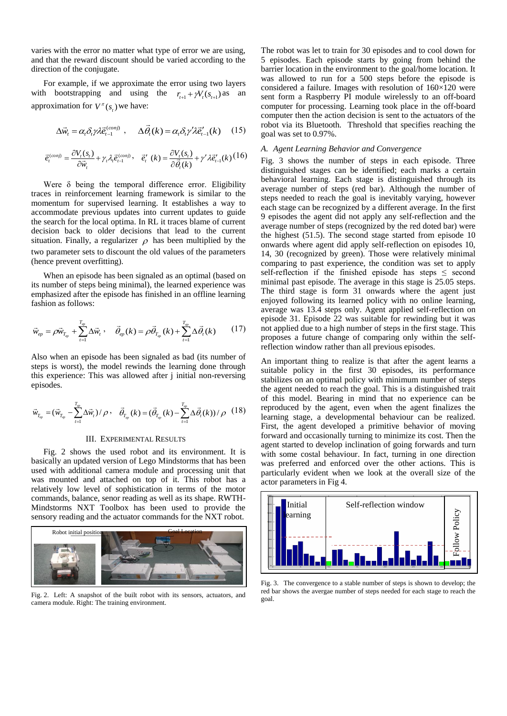varies with the error no matter what type of error we are using, and that the reward discount should be varied according to the direction of the conjugate.

For example, if we approximate the error using two layers with bootstrapping and using the  $r_{t+1} + \gamma V_t(s_{t+1})$  as an approximation for  $V^{\pi}(s_t)$  we have:

$$
\Delta \vec{w}_t = \alpha_t \delta_t \gamma \lambda \vec{e}_{t-1}^{(conj)} \ , \quad \Delta \vec{\theta}_t(k) = \alpha_t \delta_t \gamma' \lambda \vec{e}_{t-1}'(k) \quad (15)
$$

$$
\vec{e}_t^{(conj)} = \frac{\partial V_t(s_t)}{\partial \vec{w}_t} + \gamma_t \lambda_t \vec{e}_{t-1}^{(conj)}, \quad \vec{e}_t' \ (k) = \frac{\partial V_t(s_t)}{\partial \vec{\theta}_t(k)} + \gamma' \lambda \vec{e}_{t-1}'(k) \tag{16}
$$

Were δ being the temporal difference error. Eligibility traces in reinforcement learning framework is similar to the momentum for supervised learning. It establishes a way to accommodate previous updates into current updates to guide the search for the local optima. In RL it traces blame of current decision back to older decisions that lead to the current situation. Finally, a regularizer  $\rho$  has been multiplied by the two parameter sets to discount the old values of the parameters (hence prevent overfitting).

When an episode has been signaled as an optimal (based on its number of steps being minimal), the learned experience was emphasized after the episode has finished in an offline learning fashion as follows:

$$
\vec{w}_{ep} = \rho \vec{w}_{T_{ep}} + \sum_{t=1}^{T_{ep}} \Delta \vec{w}_t, \quad \vec{\theta}_{ep}(k) = \rho \vec{\theta}_{T_{ep}}(k) + \sum_{t=1}^{T_{ep}} \Delta \vec{\theta}_t(k)
$$
(17)

Also when an episode has been signaled as bad (its number of steps is worst), the model rewinds the learning done through this experience: This was allowed after j initial non-reversing episodes.

$$
\vec{w}_{T_{\varphi}} = (\vec{w}_{T_{\varphi}} - \sum_{t=1}^{T_{\varphi}} \Delta \vec{w}_t) / \rho, \quad \vec{\theta}_{T_{\varphi}}(k) = (\vec{\theta}_{T_{\varphi}}(k) - \sum_{t=1}^{T_{\varphi}} \Delta \vec{\theta}_t(k)) / \rho \quad (18)
$$

#### III. EXPERIMENTAL RESULTS

Fig. 2 shows the used robot and its environment. It is basically an updated version of Lego Mindstorms that has been used with additional camera module and processing unit that was mounted and attached on top of it. This robot has a relatively low level of sophistication in terms of the motor commands, balance, senor reading as well as its shape. RWTH-Mindstorms NXT Toolbox has been used to provide the sensory reading and the actuator commands for the NXT robot.



Fig. 2. Left: A snapshot of the built robot with its sensors, actuators, and camera module. Right: The training environment.

The robot was let to train for 30 episodes and to cool down for 5 episodes. Each episode starts by going from behind the barrier location in the environment to the goal/home location. It was allowed to run for a 500 steps before the episode is considered a failure. Images with resolution of 160×120 were sent form a Raspberry PI module wirelessly to an off-board computer for processing. Learning took place in the off-board computer then the action decision is sent to the actuators of the robot via its Bluetooth. Threshold that specifies reaching the goal was set to 0.97%.

#### *A. Agent Learning Behavior and Convergence*

Fig. 3 shows the number of steps in each episode. Three distinguished stages can be identified; each marks a certain behavioral learning. Each stage is distinguished through its average number of steps (red bar). Although the number of steps needed to reach the goal is inevitably varying, however each stage can be recognized by a different average. In the first 9 episodes the agent did not apply any self-reflection and the average number of steps (recognized by the red doted bar) were the highest (51.5). The second stage started from episode 10 onwards where agent did apply self-reflection on episodes 10, 14, 30 (recognized by green). Those were relatively minimal comparing to past experience, the condition was set to apply self-reflection if the finished episode has steps  $\le$  second minimal past episode. The average in this stage is 25.05 steps. The third stage is form 31 onwards where the agent just enjoyed following its learned policy with no online learning, average was 13.4 steps only. Agent applied self-reflection on episode 31. Episode 22 was suitable for rewinding but it was not applied due to a high number of steps in the first stage. This proposes a future change of comparing only within the selfreflection window rather than all previous episodes.

An important thing to realize is that after the agent learns a suitable policy in the first 30 episodes, its performance stabilizes on an optimal policy with minimum number of steps the agent needed to reach the goal. This is a distinguished trait of this model. Bearing in mind that no experience can be reproduced by the agent, even when the agent finalizes the learning stage, a developmental behaviour can be realized. First, the agent developed a primitive behavior of moving forward and occasionally turning to minimize its cost. Then the agent started to develop inclination of going forwards and turn with some costal behaviour. In fact, turning in one direction was preferred and enforced over the other actions. This is particularly evident when we look at the overall size of the actor parameters in Fig 4.



Fig. 3. The convergence to a stable number of steps is shown to develop; the red bar shows the avergae number of steps needed for each stage to reach the goal.